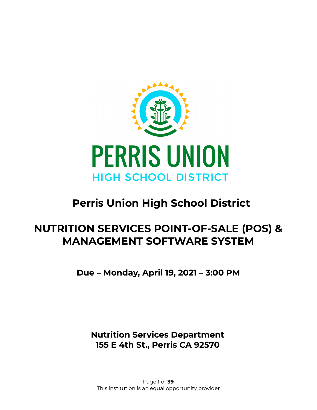

# **Perris Union High School District**

# **NUTRITION SERVICES POINT-OF-SALE (POS) & MANAGEMENT SOFTWARE SYSTEM**

**Due – Monday, April 19, 2021 – 3:00 PM**

**Nutrition Services Department 155 E 4th St., Perris CA 92570**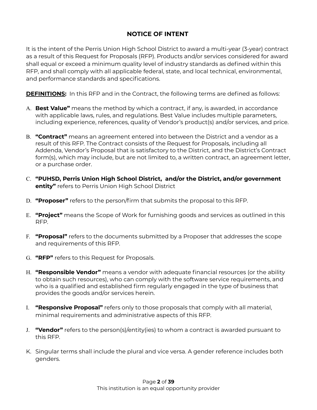### **NOTICE OF INTENT**

It is the intent of the Perris Union High School District to award a multi-year (3-year) contract as a result of this Request for Proposals (RFP). Products and/or services considered for award shall equal or exceed a minimum quality level of industry standards as defined within this RFP, and shall comply with all applicable federal, state, and local technical, environmental, and performance standards and specifications.

**DEFINITIONS:** In this RFP and in the Contract, the following terms are defined as follows:

- A. **Best Value"** means the method by which a contract, if any, is awarded, in accordance with applicable laws, rules, and regulations. Best Value includes multiple parameters, including experience, references, quality of Vendor's product(s) and/or services, and price.
- B. **"Contract"** means an agreement entered into between the District and a vendor as a result of this RFP. The Contract consists of the Request for Proposals, including all Addenda, Vendor's Proposal that is satisfactory to the District, and the District's Contract form(s), which may include, but are not limited to, a written contract, an agreement letter, or a purchase order.
- C. **"PUHSD, Perris Union High School District, and/or the District, and/or government entity"** refers to Perris Union High School District
- D. **"Proposer"** refers to the person/firm that submits the proposal to this RFP.
- E. **"Project"** means the Scope of Work for furnishing goods and services as outlined in this RFP.
- F. **"Proposal"** refers to the documents submitted by a Proposer that addresses the scope and requirements of this RFP.
- G. **"RFP"** refers to this Request for Proposals.
- H. **"Responsible Vendor"** means a vendor with adequate financial resources (or the ability to obtain such resources), who can comply with the software service requirements, and who is a qualified and established firm regularly engaged in the type of business that provides the goods and/or services herein.
- I. **"Responsive Proposal"** refers only to those proposals that comply with all material, minimal requirements and administrative aspects of this RFP.
- J. **"Vendor"** refers to the person(s)/entity(ies) to whom a contract is awarded pursuant to this RFP.
- K. Singular terms shall include the plural and vice versa. A gender reference includes both genders.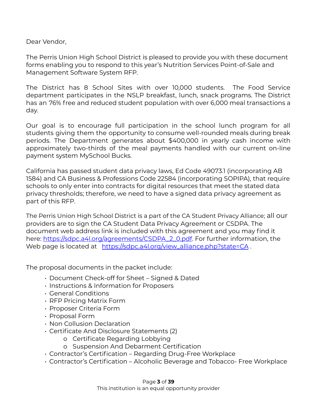Dear Vendor,

The Perris Union High School District is pleased to provide you with these document forms enabling you to respond to this year's Nutrition Services Point-of-Sale and Management Software System RFP.

The District has 8 School Sites with over 10,000 students. The Food Service department participates in the NSLP breakfast, lunch, snack programs. The District has an 76% free and reduced student population with over 6,000 meal transactions a day.

Our goal is to encourage full participation in the school lunch program for all students giving them the opportunity to consume well-rounded meals during break periods. The Department generates about \$400,000 in yearly cash income with approximately two-thirds of the meal payments handled with our current on-line payment system MySchool Bucks.

California has passed student data privacy laws, Ed Code 49073.1 (incorporating AB 1584) and CA Business & Professions Code 22584 (incorporating SOPIPA), that require schools to only enter into contracts for digital resources that meet the stated data privacy thresholds; therefore, we need to have a signed data privacy agreement as part of this RFP.

The Perris Union High School District is a part of the CA Student Privacy Alliance; all our providers are to sign the CA Student Data Privacy Agreement or CSDPA. The document web address link is included with this agreement and you may find it here: [https://sdpc.a4l.org/agreements/CSDPA\\_2\\_0.pdf](https://sdpc.a4l.org/agreements/CSDPA_2_0.pdf). For further information, the Web page is located at [https://sdpc.a4l.org/view\\_alliance.php?state=CA](https://sdpc.a4l.org/view_alliance.php?state=CA).

The proposal documents in the packet include:

- Document Check-off for Sheet Signed & Dated
- Instructions & Information for Proposers
- General Conditions
- RFP Pricing Matrix Form
- Proposer Criteria Form
- Proposal Form
- Non Collusion Declaration
- Certificate And Disclosure Statements (2)
	- o Certificate Regarding Lobbying
	- o Suspension And Debarment Certification
- Contractor's Certification Regarding Drug-Free Workplace
- Contractor's Certification Alcoholic Beverage and Tobacco- Free Workplace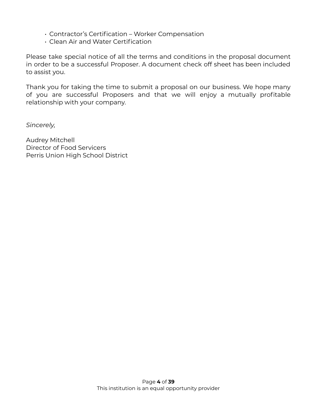- Contractor's Certification Worker Compensation
- Clean Air and Water Certification

Please take special notice of all the terms and conditions in the proposal document in order to be a successful Proposer. A document check off sheet has been included to assist you.

Thank you for taking the time to submit a proposal on our business. We hope many of you are successful Proposers and that we will enjoy a mutually profitable relationship with your company.

*Sincerely,*

Audrey Mitchell Director of Food Servicers Perris Union High School District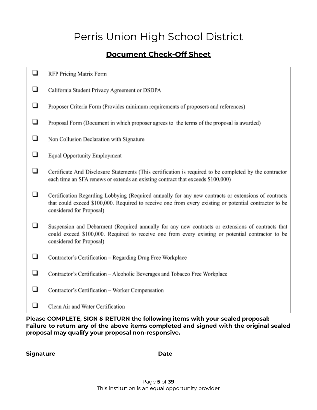# Perris Union High School District

## **Document Check-Off Sheet**

- ❏ California Student Privacy Agreement or DSDPA
- ❏ Proposer Criteria Form (Provides minimum requirements of proposers and references)
- ❏ Proposal Form (Document in which proposer agrees to the terms of the proposal is awarded)
- ❏ Non Collusion Declaration with Signature
- ❏ **Equal Opportunity Employment**
- ❏ Certificate And Disclosure Statements (This certification is required to be completed by the contractor each time an SFA renews or extends an existing contract that exceeds \$100,000)
- ❏ Certification Regarding Lobbying (Required annually for any new contracts or extensions of contracts that could exceed \$100,000. Required to receive one from every existing or potential contractor to be considered for Proposal)
- □ Suspension and Debarment (Required annually for any new contracts or extensions of contracts that could exceed \$100,000. Required to receive one from every existing or potential contractor to be considered for Proposal)
- $\Box$ Contractor's Certification - Regarding Drug Free Workplace
- ❏ Contractor's Certification - Alcoholic Beverages and Tobacco Free Workplace

**\_\_\_\_\_\_\_\_\_\_\_\_\_\_\_\_\_\_\_\_\_\_\_\_\_\_\_\_\_\_\_\_\_\_\_\_\_\_\_ \_\_\_\_\_\_\_\_\_\_\_\_\_\_\_\_\_\_\_\_\_\_\_\_\_\_\_\_\_**

- ❏ Contractor's Certification - Worker Compensation
- $\Box$ Clean Air and Water Certification

**Please COMPLETE, SIGN & RETURN the following items with your sealed proposal: Failure to return any of the above items completed and signed with the original sealed proposal may qualify your proposal non-responsive.**

**Signature Date**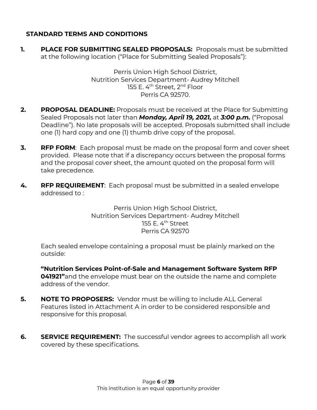### **STANDARD TERMS AND CONDITIONS**

**1. PLACE FOR SUBMITTING SEALED PROPOSALS:** Proposals must be submitted at the following location ("Place for Submitting Sealed Proposals"):

> Perris Union High School District, Nutrition Services Department- Audrey Mitchell 155 E. 4<sup>th</sup> Street, 2<sup>nd</sup> Floor Perris CA 92570.

- **2. PROPOSAL DEADLINE:** Proposals must be received at the Place for Submitting Sealed Proposals not later than *Monday, April 19, 2021,* at *3:00 p.m.* ("Proposal Deadline"). No late proposals will be accepted. Proposals submitted shall include one (1) hard copy and one (1) thumb drive copy of the proposal.
- **3. RFP FORM**: Each proposal must be made on the proposal form and cover sheet provided. Please note that if a discrepancy occurs between the proposal forms and the proposal cover sheet, the amount quoted on the proposal form will take precedence.
- **4. RFP REQUIREMENT**: Each proposal must be submitted in a sealed envelope addressed to :

Perris Union High School District, Nutrition Services Department- Audrey Mitchell 155 E. 4<sup>th</sup> Street Perris CA 92570

Each sealed envelope containing a proposal must be plainly marked on the outside:

**"Nutrition Services Point-of-Sale and Management Software System RFP 041921"**and the envelope must bear on the outside the name and complete address of the vendor.

- **5. NOTE TO PROPOSERS:** Vendor must be willing to include ALL General Features listed in Attachment A in order to be considered responsible and responsive for this proposal.
- **6.** SERVICE REQUIREMENT: The successful vendor agrees to accomplish all work covered by these specifications.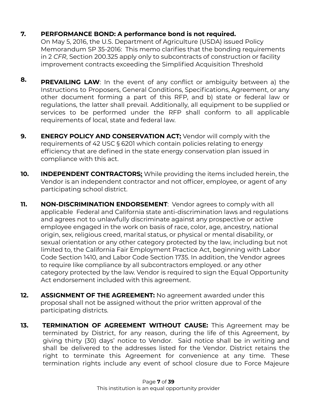### **7. PERFORMANCE BOND: A performance bond is not required.**

On May 5, 2016, the U.S. Department of Agriculture (USDA) issued Policy Memorandum SP 35-2016: This memo clarifies that the bonding requirements in 2 *CFR*, Section 200.325 apply only to subcontracts of construction or facility improvement contracts exceeding the Simplified Acquisition Threshold

- **8. PREVAILING LAW**: In the event of any conflict or ambiguity between a) the Instructions to Proposers, General Conditions, Specifications, Agreement, or any other document forming a part of this RFP, and b) state or federal law or regulations, the latter shall prevail. Additionally, all equipment to be supplied or services to be performed under the RFP shall conform to all applicable requirements of local, state and federal law.
- **9. ENERGY POLICY AND CONSERVATION ACT:** Vendor will comply with the requirements of 42 USC § 6201 which contain policies relating to energy efficiency that are defined in the state energy conservation plan issued in compliance with this act.
- **10. INDEPENDENT CONTRACTORS:** While providing the items included herein, the Vendor is an independent contractor and not officer, employee, or agent of any participating school district.
- **11. NON-DISCRIMINATION ENDORSEMENT:** Vendor agrees to comply with all applicable Federal and California state anti-discrimination laws and regulations and agrees not to unlawfully discriminate against any prospective or active employee engaged in the work on basis of race, color, age, ancestry, national origin, sex, religious creed, marital status, or physical or mental disability, or sexual orientation or any other category protected by the law, including but not limited to, the California Fair Employment Practice Act, beginning with Labor Code Section 1410, and Labor Code Section 1735. In addition, the Vendor agrees to require like compliance by all subcontractors employed. or any other category protected by the law. Vendor is required to sign the Equal Opportunity Act endorsement included with this agreement.
- **12. ASSIGNMENT OF THE AGREEMENT:** No agreement awarded under this proposal shall not be assigned without the prior written approval of the participating districts.
- **13. TERMINATION OF AGREEMENT WITHOUT CAUSE:** This Agreement may be terminated by District, for any reason, during the life of this Agreement, by giving thirty (30) days' notice to Vendor. Said notice shall be in writing and shall be delivered to the addresses listed for the Vendor. District retains the right to terminate this Agreement for convenience at any time. These termination rights include any event of school closure due to Force Majeure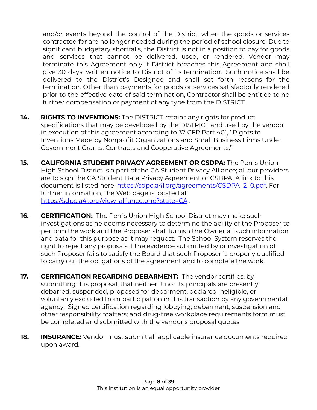and/or events beyond the control of the District, when the goods or services contracted for are no longer needed during the period of school closure. Due to significant budgetary shortfalls, the District is not in a position to pay for goods and services that cannot be delivered, used, or rendered. Vendor may terminate this Agreement only if District breaches this Agreement and shall give 30 days' written notice to District of its termination. Such notice shall be delivered to the District's Designee and shall set forth reasons for the termination. Other than payments for goods or services satisfactorily rendered prior to the effective date of said termination, Contractor shall be entitled to no further compensation or payment of any type from the DISTRICT.

- **14. RIGHTS TO INVENTIONS:** The DISTRICT retains any rights for product specifications that may be developed by the DISTRICT and used by the vendor in execution of this agreement according to 37 CFR Part 401, ''Rights to Inventions Made by Nonprofit Organizations and Small Business Firms Under Government Grants, Contracts and Cooperative Agreements,''
- **15. CALIFORNIA STUDENT PRIVACY AGREEMENT OR CSDPA:** The Perris Union High School District is a part of the CA Student Privacy Alliance; all our providers are to sign the CA Student Data Privacy Agreement or CSDPA. A link to this document is listed here: [https://sdpc.a4l.org/agreements/CSDPA\\_2\\_0.pdf.](https://sdpc.a4l.org/agreements/CSDPA_2_0.pdf) For further information, the Web page is located at [https://sdpc.a4l.org/view\\_alliance.php?state=CA](https://sdpc.a4l.org/view_alliance.php?state=CA) .
- **16. CERTIFICATION:** The Perris Union High School District may make such investigations as he deems necessary to determine the ability of the Proposer to perform the work and the Proposer shall furnish the Owner all such information and data for this purpose as it may request. The School System reserves the right to reject any proposals if the evidence submitted by or investigation of such Proposer fails to satisfy the Board that such Proposer is properly qualified to carry out the obligations of the agreement and to complete the work.
- **17. CERTIFICATION REGARDING DEBARMENT:** The vendor certifies, by submitting this proposal, that neither it nor its principals are presently debarred, suspended, proposed for debarment, declared ineligible, or voluntarily excluded from participation in this transaction by any governmental agency. Signed certification regarding lobbying; debarment, suspension and other responsibility matters; and drug-free workplace requirements form must be completed and submitted with the vendor's proposal quotes.
- **18. INSURANCE:** Vendor must submit all applicable insurance documents required upon award.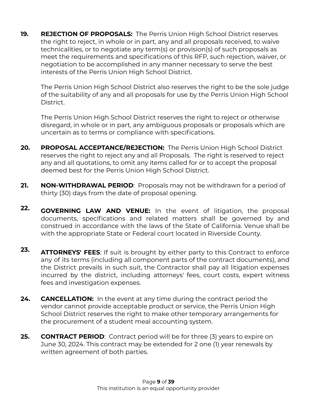**19. REJECTION OF PROPOSALS:** The Perris Union High School District reserves the right to reject, in whole or in part, any and all proposals received, to waive technicalities, or to negotiate any term(s) or provision(s) of such proposals as meet the requirements and specifications of this RFP, such rejection, waiver, or negotiation to be accomplished in any manner necessary to serve the best interests of the Perris Union High School District.

The Perris Union High School District also reserves the right to be the sole judge of the suitability of any and all proposals for use by the Perris Union High School District.

The Perris Union High School District reserves the right to reject or otherwise disregard, in whole or in part, any ambiguous proposals or proposals which are uncertain as to terms or compliance with specifications.

- **20. PROPOSAL ACCEPTANCE/REJECTION:** The Perris Union High School District reserves the right to reject any and all Proposals. The right is reserved to reject any and all quotations, to omit any items called for or to accept the proposal deemed best for the Perris Union High School District.
- **21. NON-WITHDRAWAL PERIOD**: Proposals may not be withdrawn for a period of thirty (30) days from the date of proposal opening.
- **22. GOVERNING LAW AND VENUE:** In the event of litigation, the proposal documents, specifications and related matters shall be governed by and construed in accordance with the laws of the State of California. Venue shall be with the appropriate State or Federal court located in Riverside County.
- **23. ATTORNEYS' FEES**: If suit is brought by either party to this Contract to enforce any of its terms (including all component parts of the contract documents), and the District prevails in such suit, the Contractor shall pay all litigation expenses incurred by the district, including attorneys' fees, court costs, expert witness fees and investigation expenses.
- **24. CANCELLATION:** In the event at any time during the contract period the vendor cannot provide acceptable product or service, the Perris Union High School District reserves the right to make other temporary arrangements for the procurement of a student meal accounting system.
- **25. CONTRACT PERIOD**: Contract period will be for three (3) years to expire on June 30, 2024. This contract may be extended for 2 one (1) year renewals by written agreement of both parties.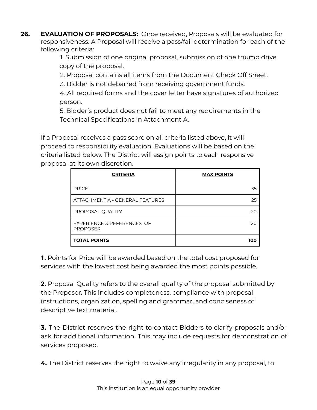**26. EVALUATION OF PROPOSALS:** Once received, Proposals will be evaluated for responsiveness. A Proposal will receive a pass/fail determination for each of the following criteria:

1. Submission of one original proposal, submission of one thumb drive copy of the proposal.

2. Proposal contains all items from the Document Check Off Sheet.

3. Bidder is not debarred from receiving government funds.

4. All required forms and the cover letter have signatures of authorized person.

5. Bidder's product does not fail to meet any requirements in the Technical Specifications in Attachment A.

If a Proposal receives a pass score on all criteria listed above, it will proceed to responsibility evaluation. Evaluations will be based on the criteria listed below. The District will assign points to each responsive proposal at its own discretion.

| <b>CRITERIA</b>                               | <b>MAX POINTS</b> |
|-----------------------------------------------|-------------------|
| <b>PRICE</b>                                  | 35                |
| ATTACHMENT A - GENERAL FEATURES               | 25                |
| PROPOSAL QUALITY                              | 20                |
| EXPERIENCE & REFERENCES OF<br><b>PROPOSER</b> | 20                |
| <b>TOTAL POINTS</b>                           | 1010              |

**1.** Points for Price will be awarded based on the total cost proposed for services with the lowest cost being awarded the most points possible.

**2.** Proposal Quality refers to the overall quality of the proposal submitted by the Proposer. This includes completeness, compliance with proposal instructions, organization, spelling and grammar, and conciseness of descriptive text material.

**3.** The District reserves the right to contact Bidders to clarify proposals and/or ask for additional information. This may include requests for demonstration of services proposed.

**4.** The District reserves the right to waive any irregularity in any proposal, to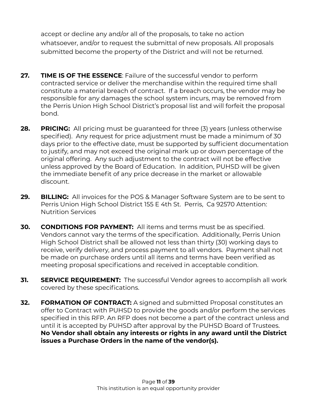accept or decline any and/or all of the proposals, to take no action whatsoever, and/or to request the submittal of new proposals. All proposals submitted become the property of the District and will not be returned.

- **27. TIME IS OF THE ESSENCE**: Failure of the successful vendor to perform contracted service or deliver the merchandise within the required time shall constitute a material breach of contract. If a breach occurs, the vendor may be responsible for any damages the school system incurs, may be removed from the Perris Union High School District's proposal list and will forfeit the proposal bond.
- **28. PRICING:** All pricing must be guaranteed for three (3) years (unless otherwise specified). Any request for price adjustment must be made a minimum of 30 days prior to the effective date, must be supported by sufficient documentation to justify, and may not exceed the original mark up or down percentage of the original offering. Any such adjustment to the contract will not be effective unless approved by the Board of Education. In addition, PUHSD will be given the immediate benefit of any price decrease in the market or allowable discount.
- **29. BILLING:** All invoices for the POS & Manager Software System are to be sent to Perris Union High School District 155 E 4th St. Perris, Ca 92570 Attention: Nutrition Services
- **30. CONDITIONS FOR PAYMENT:** All items and terms must be as specified. Vendors cannot vary the terms of the specification. Additionally, Perris Union High School District shall be allowed not less than thirty (30) working days to receive, verify delivery, and process payment to all vendors. Payment shall not be made on purchase orders until all items and terms have been verified as meeting proposal specifications and received in acceptable condition.
- **31. SERVICE REQUIREMENT:** The successful Vendor agrees to accomplish all work covered by these specifications.
- **32. FORMATION OF CONTRACT:** A signed and submitted Proposal constitutes an offer to Contract with PUHSD to provide the goods and/or perform the services specified in this RFP. An RFP does not become a part of the contract unless and until it is accepted by PUHSD after approval by the PUHSD Board of Trustees. **No Vendor shall obtain any interests or rights in any award until the District issues a Purchase Orders in the name of the vendor(s).**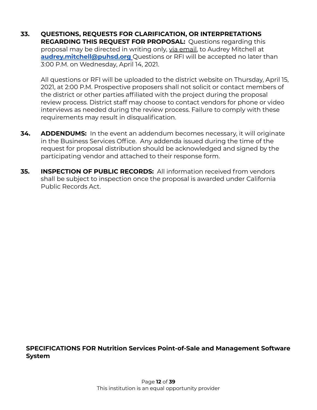**33. QUESTIONS, REQUESTS FOR CLARIFICATION, OR INTERPRETATIONS REGARDING THIS REQUEST FOR PROPOSAL:** Questions regarding this proposal may be directed in writing only, via email, to Audrey Mitchell at **[audrey.mitchell@puhsd.org](mailto:audrey.mitchell@puhsd.org)** Questions or RFI will be accepted no later than 3:00 P.M. on Wednesday, April 14, 2021.

All questions or RFI will be uploaded to the district website on Thursday, April 15, 2021, at 2:00 P.M. Prospective proposers shall not solicit or contact members of the district or other parties affiliated with the project during the proposal review process. District staff may choose to contact vendors for phone or video interviews as needed during the review process. Failure to comply with these requirements may result in disqualification.

- **34. ADDENDUMS:** In the event an addendum becomes necessary, it will originate in the Business Services Office. Any addenda issued during the time of the request for proposal distribution should be acknowledged and signed by the participating vendor and attached to their response form.
- **35. INSPECTION OF PUBLIC RECORDS:** All information received from vendors shall be subject to inspection once the proposal is awarded under California Public Records Act.

### **SPECIFICATIONS FOR Nutrition Services Point-of-Sale and Management Software System**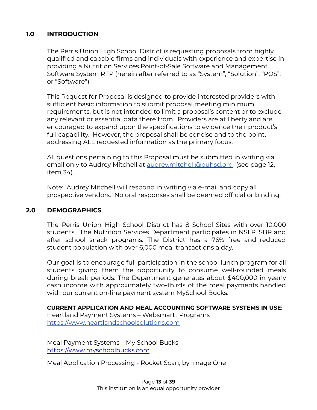### **1.0 INTRODUCTION**

The Perris Union High School District is requesting proposals from highly qualified and capable firms and individuals with experience and expertise in providing a Nutrition Services Point-of-Sale Software and Management Software System RFP (herein after referred to as "System", "Solution", "POS", or "Software")

This Request for Proposal is designed to provide interested providers with sufficient basic information to submit proposal meeting minimum requirements, but is not intended to limit a proposal's content or to exclude any relevant or essential data there from. Providers are at liberty and are encouraged to expand upon the specifications to evidence their product's full capability. However, the proposal shall be concise and to the point, addressing ALL requested information as the primary focus.

All questions pertaining to this Proposal must be submitted in writing via email only to Audrey Mitchell at [audrey.mitchell@puhsd.org](mailto:audrey.mitchell@puhsd.org) (see page 12, item 34).

Note: Audrey Mitchell will respond in writing via e-mail and copy all prospective vendors. No oral responses shall be deemed official or binding.

#### **2.0 DEMOGRAPHICS**

The Perris Union High School District has 8 School Sites with over 10,000 students. The Nutrition Services Department participates in NSLP, SBP and after school snack programs. The District has a 76% free and reduced student population with over 6,000 meal transactions a day.

Our goal is to encourage full participation in the school lunch program for all students giving them the opportunity to consume well-rounded meals during break periods. The Department generates about \$400,000 in yearly cash income with approximately two-thirds of the meal payments handled with our current on-line payment system MySchool Bucks.

**CURRENT APPLICATION AND MEAL ACCOUNTING SOFTWARE SYSTEMS IN USE:** Heartland Payment Systems – Websmartt Programs [https://www.heartlandschoolsolutions.com](https://www.heartlandschoolsolutions.com/en)

Meal Payment Systems – My School Bucks <https://www.myschoolbucks.com>

Meal Application Processing - Rocket Scan, by Image One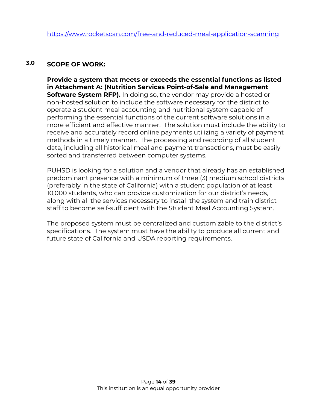#### **3.0 SCOPE OF WORK:**

**Provide a system that meets or exceeds the essential functions as listed in Attachment A: (Nutrition Services Point-of-Sale and Management Software System RFP).** In doing so, the vendor may provide a hosted or non-hosted solution to include the software necessary for the district to operate a student meal accounting and nutritional system capable of performing the essential functions of the current software solutions in a more efficient and effective manner. The solution must include the ability to receive and accurately record online payments utilizing a variety of payment methods in a timely manner. The processing and recording of all student data, including all historical meal and payment transactions, must be easily sorted and transferred between computer systems.

PUHSD is looking for a solution and a vendor that already has an established predominant presence with a minimum of three (3) medium school districts (preferably in the state of California) with a student population of at least 10,000 students, who can provide customization for our district's needs, along with all the services necessary to install the system and train district staff to become self-sufficient with the Student Meal Accounting System.

The proposed system must be centralized and customizable to the district's specifications. The system must have the ability to produce all current and future state of California and USDA reporting requirements.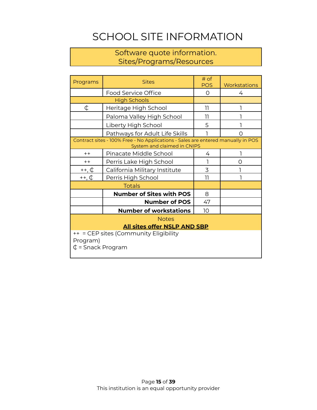# SCHOOL SITE INFORMATION

## Software quote information. Sites/Programs/Resources

| Programs                                                                            | <b>Sites</b>                                                                                                    | # of<br><b>POS</b> | Workstations |  |  |
|-------------------------------------------------------------------------------------|-----------------------------------------------------------------------------------------------------------------|--------------------|--------------|--|--|
|                                                                                     | Food Service Office                                                                                             | $\Omega$           | 4            |  |  |
|                                                                                     | <b>High Schools</b>                                                                                             |                    |              |  |  |
| ¢                                                                                   | Heritage High School                                                                                            | 11                 |              |  |  |
|                                                                                     | Paloma Valley High School                                                                                       | 11                 |              |  |  |
|                                                                                     | Liberty High School                                                                                             | 5                  |              |  |  |
|                                                                                     | Pathways for Adult Life Skills                                                                                  |                    | Ω            |  |  |
|                                                                                     | Contract sites - 100% Free - No Applications - Sales are entered manually in POS<br>System and claimed in CNIPS |                    |              |  |  |
| $++$                                                                                | Pinacate Middle School                                                                                          | 4                  |              |  |  |
| $++$                                                                                | Perris Lake High School                                                                                         |                    | 0            |  |  |
| $++, \, \mathbb{C}$                                                                 | California Military Institute                                                                                   | 3                  |              |  |  |
| ++, ¢<br>Perris High School                                                         |                                                                                                                 | 11                 |              |  |  |
|                                                                                     | <b>Totals</b>                                                                                                   |                    |              |  |  |
|                                                                                     | <b>Number of Sites with POS</b>                                                                                 | 8                  |              |  |  |
|                                                                                     | <b>Number of POS</b>                                                                                            | 47                 |              |  |  |
|                                                                                     | <b>Number of workstations</b>                                                                                   | 10                 |              |  |  |
| <b>Notes</b>                                                                        |                                                                                                                 |                    |              |  |  |
| <b>All sites offer NSLP AND SBP</b>                                                 |                                                                                                                 |                    |              |  |  |
| ++ = CEP sites (Community Eligibility<br>Program)<br>$\updownarrow$ = Snack Program |                                                                                                                 |                    |              |  |  |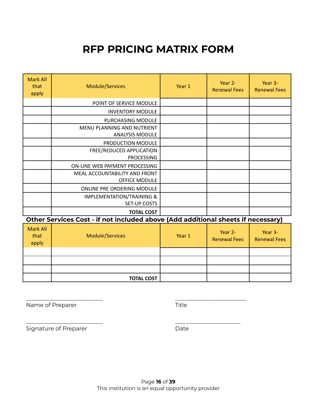# **RFP PRICING MATRIX FORM**

| <b>Mark All</b><br>that<br>apply | <b>Module/Services</b>                                                           | Year 1 | Year 2-<br><b>Renewal Fees</b> | Year 3-<br><b>Renewal Fees</b> |  |  |
|----------------------------------|----------------------------------------------------------------------------------|--------|--------------------------------|--------------------------------|--|--|
|                                  | POINT OF SERVICE MODULE                                                          |        |                                |                                |  |  |
|                                  | <b>INVENTORY MODULE</b>                                                          |        |                                |                                |  |  |
|                                  | PURCHASING MODULE                                                                |        |                                |                                |  |  |
|                                  | MENU PLANNING AND NUTRIENT<br><b>ANALYSIS MODULE</b>                             |        |                                |                                |  |  |
|                                  | PRODUCTION MODULE                                                                |        |                                |                                |  |  |
|                                  | FREE/REDUCED APPLICATION<br><b>PROCESSING</b>                                    |        |                                |                                |  |  |
|                                  | ON-LINE WEB PAYMENT PROCESSING                                                   |        |                                |                                |  |  |
|                                  | MEAL ACCOUNTABILITY AND FRONT<br>OFFICE MODULE                                   |        |                                |                                |  |  |
|                                  | ONLINE PRE ORDERING MODULE                                                       |        |                                |                                |  |  |
|                                  | <b>IMPLEMENTATION/TRAINING &amp;</b><br>SET-UP COSTS                             |        |                                |                                |  |  |
|                                  | <b>TOTAL COST</b>                                                                |        |                                |                                |  |  |
|                                  | Other Services Cost - if not included above (Add additional sheets if necessary) |        |                                |                                |  |  |

| Mark All<br>that<br>apply | Module/Services   | Year 1 | Year 2-<br><b>Renewal Fees</b> | Year 3-<br><b>Renewal Fees</b> |
|---------------------------|-------------------|--------|--------------------------------|--------------------------------|
|                           |                   |        |                                |                                |
|                           |                   |        |                                |                                |
|                           |                   |        |                                |                                |
|                           | <b>TOTAL COST</b> |        |                                |                                |

\_\_\_\_\_\_\_\_\_\_\_\_\_\_\_\_\_\_\_\_\_\_\_\_\_\_\_ \_\_\_\_\_\_\_\_\_\_\_\_\_\_\_\_\_\_\_\_\_\_\_\_\_ Name of Preparer Title

Signature of Preparer and Theorem Controller and Date

\_\_\_\_\_\_\_\_\_\_\_\_\_\_\_\_\_\_\_\_\_\_\_\_\_\_\_ \_\_\_\_\_\_\_\_\_\_\_\_\_\_\_\_\_\_\_\_\_\_\_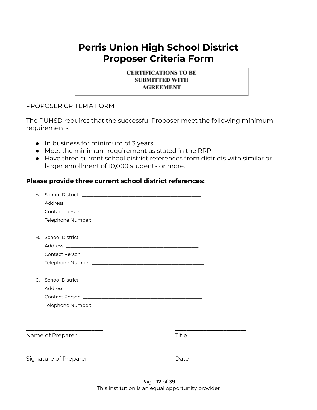# **Perris Union High School District Proposer Criteria Form**

#### **CERTIFICATIONS TO BE SUBMITTED WITH AGREEMENT**

#### PROPOSER CRITERIA FORM

The PUHSD requires that the successful Proposer meet the following minimum requirements:

- In business for minimum of 3 years
- Meet the minimum requirement as stated in the RRP
- Have three current school district references from districts with similar or larger enrollment of 10,000 students or more.

#### **Please provide three current school district references:**

|           | Name of Preparer | Title |  |
|-----------|------------------|-------|--|
|           |                  |       |  |
|           |                  |       |  |
|           |                  |       |  |
|           |                  |       |  |
| $\subset$ |                  |       |  |
|           |                  |       |  |
|           |                  |       |  |
|           |                  |       |  |
| <b>B.</b> |                  |       |  |
|           |                  |       |  |
|           |                  |       |  |
|           |                  |       |  |
|           |                  |       |  |

\_\_\_\_\_\_\_\_\_\_\_\_\_\_\_\_\_\_\_\_\_\_\_\_\_\_\_ \_\_\_\_\_\_\_\_\_\_\_\_\_\_\_\_\_\_\_\_\_\_\_ Signature of Preparer and Date Date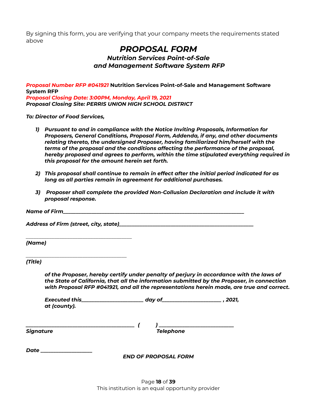By signing this form, you are verifying that your company meets the requirements stated above

## *PROPOSAL FORM*

#### *Nutrition Services Point-of-Sale and Management Software System RFP*

*Proposal Number RFP #041921* **Nutrition Services Point-of-Sale and Management Software System RFP** *Proposal Closing Date: 3:00PM, Monday, April 19, 2021 Proposal Closing Site: PERRIS UNION HIGH SCHOOL DISTRICT*

*To: Director of Food Services,*

*\_\_\_\_\_\_\_\_\_\_\_\_\_\_\_\_\_\_\_\_\_\_\_\_\_\_\_\_\_\_\_\_\_\_\_\_\_\_\_\_\_*

- *1) Pursuant to and in compliance with the Notice Inviting Proposals, Information for Proposers, General Conditions, Proposal Form, Addenda, if any, and other documents relating thereto, the undersigned Proposer, having familiarized him/herself with the terms of the proposal and the conditions affecting the performance of the proposal, hereby proposed and agrees to perform, within the time stipulated everything required in this proposal for the amount herein set forth.*
- *2) This proposal shall continue to remain in effect after the initial period indicated for as long as all parties remain in agreement for additional purchases.*
- *3) Proposer shall complete the provided Non-Collusion Declaration and include it with proposal response.*

| Name of Firm |  |
|--------------|--|
|              |  |

*Address of Firm (street, city, state)\_\_\_\_\_\_\_\_\_\_\_\_\_\_\_\_\_\_\_\_\_\_\_\_\_\_\_\_\_\_\_\_\_\_\_\_\_\_\_\_\_\_\_\_\_\_\_\_\_\_\_\_*

*(Name)*

*\_\_\_\_\_\_\_\_\_\_\_\_\_\_\_\_\_\_\_\_\_\_\_\_\_\_\_\_\_\_\_\_\_\_\_\_\_\_\_ (Title)*

> *of the Proposer, hereby certify under penalty of perjury in accordance with the laws of the State of California, that all the information submitted by the Proposer, in connection with Proposal RFP #041921, and all the representations herein made, are true and correct.*

*Executed this\_\_\_\_\_\_\_\_\_\_\_\_\_\_\_\_\_\_\_\_\_\_\_\_ day of\_\_\_\_\_\_\_\_\_\_\_\_\_\_\_\_\_\_\_\_\_\_\_ , 2021, at (county).*

*\_\_\_\_\_\_\_\_\_\_\_\_\_\_\_\_\_\_\_\_\_\_\_\_\_\_\_\_\_\_\_\_\_\_\_\_\_\_\_\_\_\_ ( ) \_\_\_\_\_\_\_\_\_\_\_\_\_\_\_\_\_\_\_\_\_\_\_\_\_\_\_\_\_ Signature Telephone*

*Date \_\_\_\_\_\_\_\_\_\_\_\_\_\_\_\_\_\_\_\_*

*END OF PROPOSAL FORM*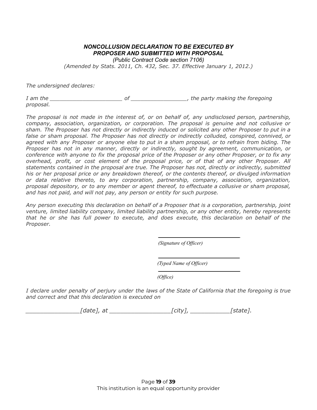#### *NONCOLLUSION DECLARATION TO BE EXECUTED BY PROPOSER AND SUBMITTED WITH PROPOSAL*

*(Public Contract Code section 7106)*

*(Amended by Stats. 2011, Ch. 432, Sec. 37. Effective January 1, 2012.)*

*The undersigned declares:*

*I am the \_\_\_\_\_\_\_\_\_\_\_\_\_\_\_\_\_\_\_\_\_\_ of \_\_\_\_\_\_\_\_\_\_\_\_\_\_\_\_\_, the party making the foregoing proposal.*

*The proposal is not made in the interest of, or on behalf of, any undisclosed person, partnership, company, association, organization, or corporation. The proposal is genuine and not collusive or* sham. The Proposer has not directly or indirectly induced or solicited any other Proposer to put in a *false or sham proposal. The Proposer has not directly or indirectly colluded, conspired, connived, or* agreed with any Proposer or anyone else to put in a sham proposal, or to refrain from biding. The *Proposer has not in any manner, directly or indirectly, sought by agreement, communication, or* conference with anyone to fix the proposal price of the Proposer or any other Proposer, or to fix any *overhead, profit, or cost element of the proposal price, or of that of any other Proposer. All statements contained in the proposal are true. The Proposer has not, directly or indirectly, submitted his or her proposal price or any breakdown thereof, or the contents thereof, or divulged information or data relative thereto, to any corporation, partnership, company, association, organization, proposal depository, or to any member or agent thereof, to effectuate a collusive or sham proposal, and has not paid, and will not pay, any person or entity for such purpose.*

*Any person executing this declaration on behalf of a Proposer that is a corporation, partnership, joint venture, limited liability company, limited liability partnership, or any other entity, hereby represents that he or she has full power to execute, and does execute, this declaration on behalf of the Proposer.*

*(Signature of Of icer)*

*(Typed Name of Of icer)*

*(Of ice)*

I declare under penalty of perjury under the laws of the State of California that the foregoing is true *and correct and that this declaration is executed on*

*\_\_\_\_\_\_\_\_\_\_\_\_\_\_\_[date], at \_\_\_\_\_\_\_\_\_\_\_\_\_\_\_\_\_[city], \_\_\_\_\_\_\_\_\_\_\_[state].*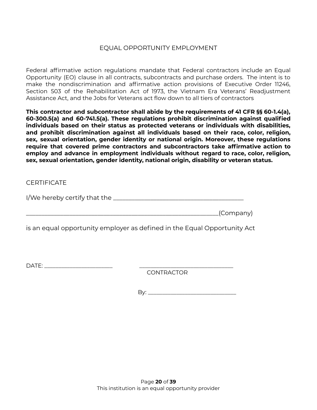#### EQUAL OPPORTUNITY EMPLOYMENT

Federal affirmative action regulations mandate that Federal contractors include an Equal Opportunity (EO) clause in all contracts, subcontracts and purchase orders. The intent is to make the nondiscrimination and affirmative action provisions of Executive Order 11246, Section 503 of the Rehabilitation Act of 1973, the Vietnam Era Veterans' Readjustment Assistance Act, and the Jobs for Veterans act flow down to all tiers of contractors

**This contractor and subcontractor shall abide by the requirements of 41 CFR §§ 60-1.4(a), 60-300.5(a) and 60-741.5(a). These regulations prohibit discrimination against qualified individuals based on their status as protected veterans or individuals with disabilities, and prohibit discrimination against all individuals based on their race, color, religion, sex, sexual orientation, gender identity or national origin. Moreover, these regulations require that covered prime contractors and subcontractors take affirmative action to employ and advance in employment individuals without regard to race, color, religion, sex, sexual orientation, gender identity, national origin, disability or veteran status.**

#### **CERTIFICATE**

I/We hereby certify that the \_\_\_\_\_\_\_\_\_\_\_\_\_\_\_\_\_\_\_\_\_\_\_\_\_\_\_\_\_\_\_\_\_\_\_\_\_\_\_\_\_\_

 $\begin{array}{c} \hline \end{array}$  (Company)

is an equal opportunity employer as defined in the Equal Opportunity Act

DATE: \_\_\_\_\_\_\_\_\_\_\_\_\_\_\_\_\_\_\_\_\_\_\_\_ \_\_\_\_\_\_\_\_\_\_\_\_\_\_\_\_\_\_\_\_\_\_\_\_\_\_\_\_\_\_\_\_\_

CONTRACTOR

By: \_\_\_\_\_\_\_\_\_\_\_\_\_\_\_\_\_\_\_\_\_\_\_\_\_\_\_\_\_\_\_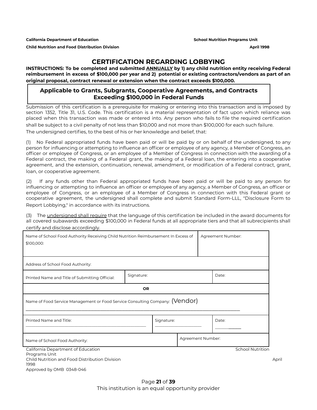**California Department of Education School Nutrition Programs Unit Child Nutrition and Food Distribution Division April 1998**

#### **CERTIFICATION REGARDING LOBBYING**

**INSTRUCTIONS: To be completed and submitted ANNUALLY by 1) any child nutrition entity receiving Federal** reimbursement in excess of \$100,000 per year and 2) potential or existing contractors/vendors as part of an **original proposal, contract renewal or extension when the contract exceeds \$100,000.**

#### **Applicable to Grants, Subgrants, Cooperative Agreements, and Contracts Exceeding \$100,000 in Federal Funds**

Submission of this certification is a prerequisite for making or entering into this transaction and is imposed by section 1352, Title 31, U.S. Code. This certification is a material representation of fact upon which reliance was placed when this transaction was made or entered into. Any person who fails to file the required certification shall be subject to a civil penalty of not less than \$10,000 and not more than \$100,000 for each such failure. The undersigned certifies, to the best of his or her knowledge and belief, that:

(1) No Federal appropriated funds have been paid or will be paid by or on behalf of the undersigned, to any person for influencing or attempting to influence an officer or employee of any agency, a Member of Congress, an officer or employee of Congress, or an employee of a Member of Congress in connection with the awarding of a Federal contract, the making of a Federal grant, the making of a Federal loan, the entering into a cooperative agreement, and the extension, continuation, renewal, amendment, or modification of a Federal contract, grant, loan, or cooperative agreement.

(2) If any funds other than Federal appropriated funds have been paid or will be paid to any person for influencing or attempting to influence an officer or employee of any agency, a Member of Congress, an officer or employee of Congress, or an employee of a Member of Congress in connection with this Federal grant or cooperative agreement, the undersigned shall complete and submit Standard Form-LLL, "Disclosure Form to Report Lobbying," in accordance with its instructions.

(3) The undersigned shall require that the language of this certification be included in the award documents for all covered subawards exceeding \$100,000 in Federal funds at all appropriate tiers and that all subrecipients shall certify and disclose accordingly.

| Name of School Food Authority Receiving Child Nutrition Reimbursement In Excess of<br>\$100,000:    |            |            | Agreement Number: |                         |       |
|-----------------------------------------------------------------------------------------------------|------------|------------|-------------------|-------------------------|-------|
| Address of School Food Authority:                                                                   |            |            |                   |                         |       |
| Printed Name and Title of Submitting Official:                                                      | Signature: |            |                   | Date:                   |       |
|                                                                                                     | <b>OR</b>  |            |                   |                         |       |
| Name of Food Service Management or Food Service Consulting Company: (Vendor)                        |            |            |                   |                         |       |
| Printed Name and Title:                                                                             |            | Signature: |                   | Date:                   |       |
| Name of School Food Authority:                                                                      |            |            | Agreement Number: |                         |       |
| California Department of Education                                                                  |            |            |                   | <b>School Nutrition</b> |       |
| Programs Unit<br>Child Nutrition and Food Distribution Division<br>1998<br>Approved by OMB 0348-046 |            |            |                   |                         | April |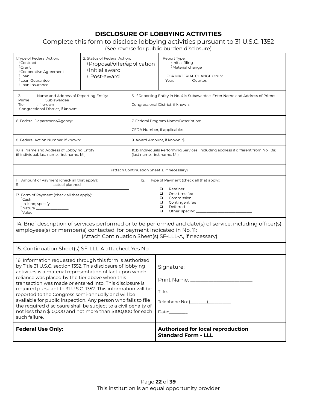### **DISCLOSURE OF LOBBYING ACTIVITIES**

#### Complete this form to disclose lobbying activities pursuant to 31 U.S.C. 1352 (See reverse for public burden disclosure)

| 1. Type of Federal Action:<br><sup>i</sup> Contract<br><sup>i</sup> Grant<br>Cooperative Agreement<br><sup>i</sup> Loan<br><sup>1</sup> Loan Guarantee<br><sup>i</sup> Loan Insurance                                                                                                                                                                                                                                                                                                                                                                                                                                                            | 2. Status of Federal Action:<br>i Proposal/offer/application<br>ilnitial award<br>i Post-award                           |                                                                             | Report Type:<br>Í Initial filing<br><sup>1</sup> Material change<br>FOR MATERIAL CHANGE ONLY:<br>Year: _____________ Quarter: ____________         |  |
|--------------------------------------------------------------------------------------------------------------------------------------------------------------------------------------------------------------------------------------------------------------------------------------------------------------------------------------------------------------------------------------------------------------------------------------------------------------------------------------------------------------------------------------------------------------------------------------------------------------------------------------------------|--------------------------------------------------------------------------------------------------------------------------|-----------------------------------------------------------------------------|----------------------------------------------------------------------------------------------------------------------------------------------------|--|
| Name and Address of Reporting Entity:<br>3.<br>Prime<br>Sub awardee<br>Tier ________, if known<br>Congressional District, if known:                                                                                                                                                                                                                                                                                                                                                                                                                                                                                                              |                                                                                                                          |                                                                             | 5. If Reporting Entity in No. 4 is Subawardee, Enter Name and Address of Prime:<br>Congressional District, if known:                               |  |
| 6. Federal Department/Agency:                                                                                                                                                                                                                                                                                                                                                                                                                                                                                                                                                                                                                    |                                                                                                                          |                                                                             | 7. Federal Program Name/Description:<br>CFDA Number, if applicable:                                                                                |  |
| 8. Federal Action Number, if known:                                                                                                                                                                                                                                                                                                                                                                                                                                                                                                                                                                                                              |                                                                                                                          |                                                                             | 9. Award Amount, if known: \$                                                                                                                      |  |
|                                                                                                                                                                                                                                                                                                                                                                                                                                                                                                                                                                                                                                                  | 10. a Name and Address of Lobbying Entity<br>(if individual, last name, first name, MI):<br>(last name, first name, MI): |                                                                             | 10.b. Individuals Performing Services (including address if different from No. 10a)                                                                |  |
|                                                                                                                                                                                                                                                                                                                                                                                                                                                                                                                                                                                                                                                  |                                                                                                                          |                                                                             | (attach Continuation Sheet(s) if necessary)                                                                                                        |  |
| 11. Amount of Payment (check all that apply):<br>12.<br>13. Form of Payment (check all that apply):<br><sup>i</sup> Cash<br><sup>1</sup> In-kind; specify:<br><sup>1</sup> Nature ________________<br><sup>1</sup> Value __________________                                                                                                                                                                                                                                                                                                                                                                                                      |                                                                                                                          |                                                                             | Type of Payment (check all that apply):<br>❏<br>Retainer<br>$\Box$<br>One-time fee<br>Commission<br>▫<br>□<br>Contingent fee<br>□<br>Deferred<br>□ |  |
| 14. Brief description of services performed or to be performed and date(s) of service, including officer(s),<br>employees(s) or member(s) contacted, for payment indicated in No. 11:<br>(Attach Continuation Sheet(s) SF-LLL-A, if necessary)                                                                                                                                                                                                                                                                                                                                                                                                   |                                                                                                                          |                                                                             |                                                                                                                                                    |  |
| 15. Continuation Sheet(s) SF-LLL-A attached: Yes No                                                                                                                                                                                                                                                                                                                                                                                                                                                                                                                                                                                              |                                                                                                                          |                                                                             |                                                                                                                                                    |  |
| 16. Information requested through this form is authorized<br>by Title 31 U.S.C. section 1352. This disclosure of lobbying<br>activities is a material representation of fact upon which<br>reliance was placed by the tier above when this<br>transaction was made or entered into. This disclosure is<br>required pursuant to 31 U.S.C. 1352. This information will be<br>reported to the Congress semi-annually and will be<br>available for public inspection. Any person who fails to file<br>the required disclosure shall be subject to a civil penalty of<br>not less than \$10,000 and not more than \$100,000 for each<br>such failure. |                                                                                                                          | Signature: Signature:<br>Print Name: ____________________<br>Date:_________ |                                                                                                                                                    |  |
| <b>Federal Use Only:</b>                                                                                                                                                                                                                                                                                                                                                                                                                                                                                                                                                                                                                         |                                                                                                                          |                                                                             | <b>Authorized for local reproduction</b><br><b>Standard Form - LLL</b>                                                                             |  |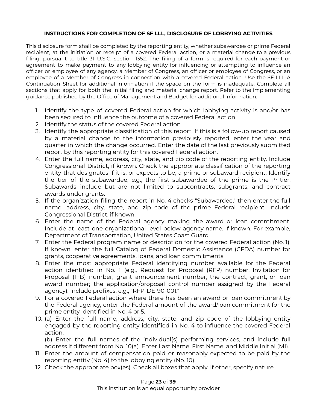#### **INSTRUCTIONS FOR COMPLETION OF SF LLL, DISCLOSURE OF LOBBYING ACTIVITIES**

This disclosure form shall be completed by the reporting entity, whether subawardee or prime Federal recipient, at the initiation or receipt of a covered Federal action, or a material change to a previous filing, pursuant to title 31 U.S.C. section 1352. The filing of a form is required for each payment or agreement to make payment to any lobbying entity for influencing or attempting to influence an officer or employee of any agency, a Member of Congress, an officer or employee of Congress, or an employee of a Member of Congress in connection with a covered Federal action. Use the SF-LLL-A Continuation Sheet for additional information if the space on the form is inadequate. Complete all sections that apply for both the initial filing and material change report. Refer to the implementing guidance published by the Office of Management and Budget for additional information.

- 1. Identify the type of covered Federal action for which lobbying activity is and/or has been secured to influence the outcome of a covered Federal action.
- 2. Identify the status of the covered Federal action.
- 3. Identify the appropriate classification of this report. If this is a follow-up report caused by a material change to the information previously reported, enter the year and quarter in which the change occurred. Enter the date of the last previously submitted report by this reporting entity for this covered Federal action.
- 4. Enter the full name, address, city, state, and zip code of the reporting entity. Include Congressional District, if known. Check the appropriate classification of the reporting entity that designates if it is, or expects to be, a prime or subaward recipient. Identify the tier of the subawardee, e.g., the first subawardee of the prime is the  $1<sup>st</sup>$  tier. Subawards include but are not limited to subcontracts, subgrants, and contract awards under grants.
- 5. If the organization filing the report in No. 4 checks "Subawardee," then enter the full name, address, city, state, and zip code of the prime Federal recipient. Include Congressional District, if known.
- 6. Enter the name of the Federal agency making the award or loan commitment. Include at least one organizational level below agency name, if known. For example, Department of Transportation, United States Coast Guard.
- 7. Enter the Federal program name or description for the covered Federal action (No. 1). If known, enter the full Catalog of Federal Domestic Assistance (CFDA) number for grants, cooperative agreements, loans, and loan commitments.
- 8. Enter the most appropriate Federal identifying number available for the Federal action identified in No. 1 (e.g., Request for Proposal (RFP) number; Invitation for Proposal (IFB) number; grant announcement number; the contract, grant, or loan award number; the application/proposal control number assigned by the Federal agency). Include prefixes, e.g., "RFP-DE-90-001."
- 9. For a covered Federal action where there has been an award or loan commitment by the Federal agency, enter the Federal amount of the award/loan commitment for the prime entity identified in No. 4 or 5.
- 10. (a) Enter the full name, address, city, state, and zip code of the lobbying entity engaged by the reporting entity identified in No. 4 to influence the covered Federal action.

(b) Enter the full names of the individual(s) performing services, and include full address if different from No. 10(a). Enter Last Name, First Name, and Middle Initial (MI).

- 11. Enter the amount of compensation paid or reasonably expected to be paid by the reporting entity (No. 4) to the lobbying entity (No. 10).
- 12. Check the appropriate box(es). Check all boxes that apply. If other, specify nature.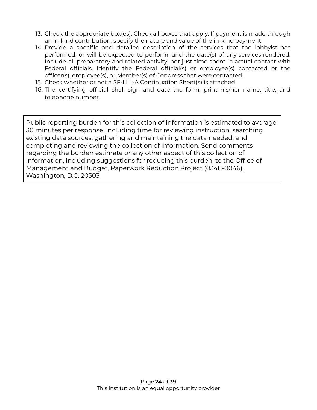- 13. Check the appropriate box(es). Check all boxes that apply. If payment is made through an in-kind contribution, specify the nature and value of the in-kind payment.
- 14. Provide a specific and detailed description of the services that the lobbyist has performed, or will be expected to perform, and the date(s) of any services rendered. Include all preparatory and related activity, not just time spent in actual contact with Federal officials. Identify the Federal official(s) or employee(s) contacted or the officer(s), employee(s), or Member(s) of Congress that were contacted.
- 15. Check whether or not a SF-LLL-A Continuation Sheet(s) is attached.
- 16. The certifying official shall sign and date the form, print his/her name, title, and telephone number.

Public reporting burden for this collection of information is estimated to average 30 minutes per response, including time for reviewing instruction, searching existing data sources, gathering and maintaining the data needed, and completing and reviewing the collection of information. Send comments regarding the burden estimate or any other aspect of this collection of information, including suggestions for reducing this burden, to the Office of Management and Budget, Paperwork Reduction Project (0348-0046), Washington, D.C. 20503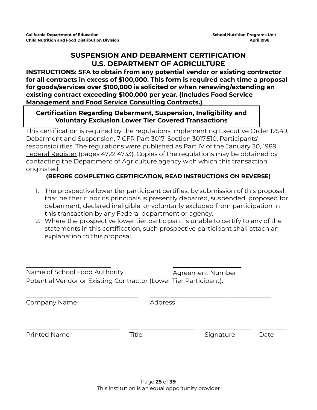### **SUSPENSION AND DEBARMENT CERTIFICATION U.S. DEPARTMENT OF AGRICULTURE**

#### **INSTRUCTIONS: SFA to obtain from any potential vendor or existing contractor for all contracts in excess of \$100,000. This form is required each time a proposal for goods/services over \$100,000 is solicited or when renewing/extending an existing contract exceeding \$100,000 per year. (Includes Food Service Management and Food Service Consulting Contracts.)**

#### **Certification Regarding Debarment, Suspension, Ineligibility and Voluntary Exclusion Lower Tier Covered Transactions**

This certification is required by the regulations implementing Executive Order 12549, Debarment and Suspension, 7 CFR Part 3017, Section 3017.510, Participants' responsibilities. The regulations were published as Part IV of the January 30, 1989, Federal Register (pages 4722 4733). Copies of the regulations may be obtained by contacting the Department of Agriculture agency with which this transaction originated.

### **(BEFORE COMPLETING CERTIFICATION, READ INSTRUCTIONS ON REVERSE)**

- 1. The prospective lower tier participant certifies, by submission of this proposal, that neither it nor its principals is presently debarred, suspended, proposed for debarment, declared ineligible, or voluntarily excluded from participation in this transaction by any Federal department or agency.
- 2. Where the prospective lower tier participant is unable to certify to any of the statements in this certification, such prospective participant shall attach an explanation to this proposal.

| Name of School Food Authority<br>Potential Vendor or Existing Contractor (Lower Tier Participant): |       | Agreement Number |      |
|----------------------------------------------------------------------------------------------------|-------|------------------|------|
| Company Name                                                                                       |       | <b>Address</b>   |      |
| <b>Printed Name</b>                                                                                | Title | Signature        | Date |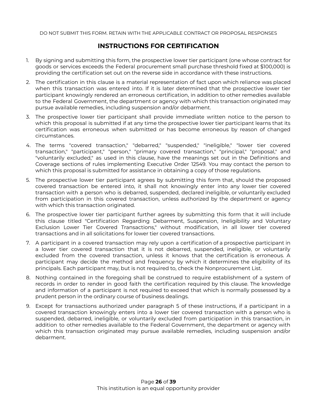#### **INSTRUCTIONS FOR CERTIFICATION**

- 1. By signing and submitting this form, the prospective lower tier participant (one whose contract for goods or services exceeds the Federal procurement small purchase threshold fixed at \$100,000) is providing the certification set out on the reverse side in accordance with these instructions.
- 2. The certification in this clause is a material representation of fact upon which reliance was placed when this transaction was entered into. If it is later determined that the prospective lower tier participant knowingly rendered an erroneous certification, in addition to other remedies available to the Federal Government, the department or agency with which this transaction originated may pursue available remedies, including suspension and/or debarment.
- 3. The prospective lower tier participant shall provide immediate written notice to the person to which this proposal is submitted if at any time the prospective lower tier participant learns that its certification was erroneous when submitted or has become erroneous by reason of changed circumstances.
- 4. The terms "covered transaction," "debarred," "suspended," "ineligible," "lower tier covered transaction," "participant," "person," "primary covered transaction," "principal," "proposal," and "voluntarily excluded," as used in this clause, have the meanings set out in the Definitions and Coverage sections of rules implementing Executive Order 12549. You may contact the person to which this proposal is submitted for assistance in obtaining a copy of those regulations.
- 5. The prospective lower tier participant agrees by submitting this form that, should the proposed covered transaction be entered into, it shall not knowingly enter into any lower tier covered transaction with a person who is debarred, suspended, declared ineligible, or voluntarily excluded from participation in this covered transaction, unless authorized by the department or agency with which this transaction originated.
- 6. The prospective lower tier participant further agrees by submitting this form that it will include this clause titled "Certification Regarding Debarment, Suspension, Ineligibility and Voluntary Exclusion Lower Tier Covered Transactions," without modification, in all lower tier covered transactions and in all solicitations for lower tier covered transactions.
- 7. A participant in a covered transaction may rely upon a certification of a prospective participant in a lower tier covered transaction that it is not debarred, suspended, ineligible, or voluntarily excluded from the covered transaction, unless it knows that the certification is erroneous. A participant may decide the method and frequency by which it determines the eligibility of its principals. Each participant may, but is not required to, check the Nonprocurement List.
- 8. Nothing contained in the foregoing shall be construed to require establishment of a system of records in order to render in good faith the certification required by this clause. The knowledge and information of a participant is not required to exceed that which is normally possessed by a prudent person in the ordinary course of business dealings.
- 9. Except for transactions authorized under paragraph 5 of these instructions, if a participant in a covered transaction knowingly enters into a lower tier covered transaction with a person who is suspended, debarred, ineligible, or voluntarily excluded from participation in this transaction, in addition to other remedies available to the Federal Government, the department or agency with which this transaction originated may pursue available remedies, including suspension and/or debarment.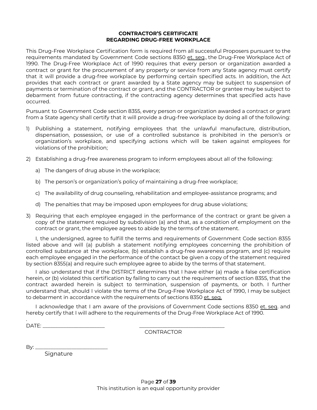#### **CONTRACTOR'S CERTIFICATE REGARDING DRUG-FREE WORKPLACE**

This Drug-Free Workplace Certification form is required from all successful Proposers pursuant to the requirements mandated by Government Code sections 8350 et. seq., the Drug-Free Workplace Act of 1990. The Drug-Free Workplace Act of 1990 requires that every person or organization awarded a contract or grant for the procurement of any property or service from any State agency must certify that it will provide a drug-free workplace by performing certain specified acts. In addition, the Act provides that each contract or grant awarded by a State agency may be subject to suspension of payments or termination of the contract or grant, and the CONTRACTOR or grantee may be subject to debarment from future contracting, if the contracting agency determines that specified acts have occurred.

Pursuant to Government Code section 8355, every person or organization awarded a contract or grant from a State agency shall certify that it will provide a drug-free workplace by doing all of the following:

- 1) Publishing a statement, notifying employees that the unlawful manufacture, distribution, dispensation, possession, or use of a controlled substance is prohibited in the person's or organization's workplace, and specifying actions which will be taken against employees for violations of the prohibition;
- 2) Establishing a drug-free awareness program to inform employees about all of the following:
	- a) The dangers of drug abuse in the workplace;
	- b) The person's or organization's policy of maintaining a drug-free workplace;
	- c) The availability of drug counseling, rehabilitation and employee-assistance programs; and
	- d) The penalties that may be imposed upon employees for drug abuse violations;
- 3) Requiring that each employee engaged in the performance of the contract or grant be given a copy of the statement required by subdivision (a) and that, as a condition of employment on the contract or grant, the employee agrees to abide by the terms of the statement.

I, the undersigned, agree to fulfill the terms and requirements of Government Code section 8355 listed above and will (a) publish a statement notifying employees concerning the prohibition of controlled substance at the workplace, (b) establish a drug-free awareness program, and (c) require each employee engaged in the performance of the contact be given a copy of the statement required by section 8355(a) and require such employee agree to abide by the terms of that statement.

I also understand that if the DISTRICT determines that I have either (a) made a false certification herein, or (b) violated this certification by failing to carry out the requirements of section 8355, that the contract awarded herein is subject to termination, suspension of payments, or both. I further understand that, should I violate the terms of the Drug-Free Workplace Act of 1990, I may be subject to debarment in accordance with the requirements of sections 8350 et. seq.

I acknowledge that I am aware of the provisions of Government Code sections 8350 et. seq. and hereby certify that I will adhere to the requirements of the Drug-Free Workplace Act of 1990.

.  $\Box$ ATE:

CONTRACTOR

 $\mathsf{By:}\_\!\_$ 

Signature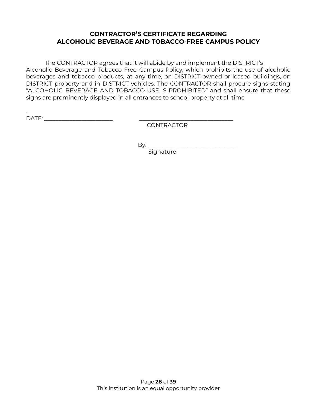#### **CONTRACTOR'S CERTIFICATE REGARDING ALCOHOLIC BEVERAGE AND TOBACCO-FREE CAMPUS POLICY**

The CONTRACTOR agrees that it will abide by and implement the DISTRICT's Alcoholic Beverage and Tobacco-Free Campus Policy, which prohibits the use of alcoholic beverages and tobacco products, at any time, on DISTRICT-owned or leased buildings, on DISTRICT property and in DISTRICT vehicles. The CONTRACTOR shall procure signs stating "ALCOHOLIC BEVERAGE AND TOBACCO USE IS PROHIBITED" and shall ensure that these signs are prominently displayed in all entrances to school property at all time

. DATE: \_\_\_\_\_\_\_\_\_\_\_\_\_\_\_\_\_\_\_\_\_\_\_\_ \_\_\_\_\_\_\_\_\_\_\_\_\_\_\_\_\_\_\_\_\_\_\_\_\_\_\_\_\_\_\_\_\_

CONTRACTOR

By: \_\_\_\_\_\_\_\_\_\_\_\_\_\_\_\_\_\_\_\_\_\_\_\_\_\_\_\_\_\_\_

Signature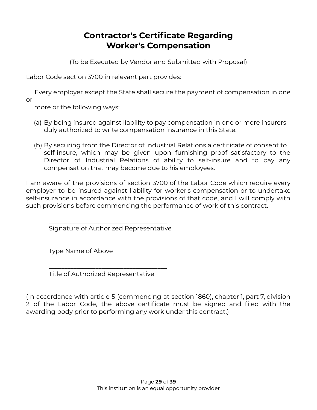## **Contractor's Certificate Regarding Worker's Compensation**

(To be Executed by Vendor and Submitted with Proposal)

Labor Code section 3700 in relevant part provides:

Every employer except the State shall secure the payment of compensation in one or

more or the following ways:

- (a) By being insured against liability to pay compensation in one or more insurers duly authorized to write compensation insurance in this State.
- (b) By securing from the Director of Industrial Relations a certificate of consent to self-insure, which may be given upon furnishing proof satisfactory to the Director of Industrial Relations of ability to self-insure and to pay any compensation that may become due to his employees.

I am aware of the provisions of section 3700 of the Labor Code which require every employer to be insured against liability for worker's compensation or to undertake self-insurance in accordance with the provisions of that code, and I will comply with such provisions before commencing the performance of work of this contract.

\_\_\_\_\_\_\_\_\_\_\_\_\_\_\_\_\_\_\_\_\_\_\_\_\_\_\_\_\_\_\_\_\_\_\_\_\_\_ Signature of Authorized Representative

\_\_\_\_\_\_\_\_\_\_\_\_\_\_\_\_\_\_\_\_\_\_\_\_\_\_\_\_\_\_\_\_\_\_\_\_\_\_

Type Name of Above

\_\_\_\_\_\_\_\_\_\_\_\_\_\_\_\_\_\_\_\_\_\_\_\_\_\_\_\_\_\_\_\_\_\_\_\_\_\_ Title of Authorized Representative

(In accordance with article 5 (commencing at section 1860), chapter 1, part 7, division 2 of the Labor Code, the above certificate must be signed and filed with the awarding body prior to performing any work under this contract.)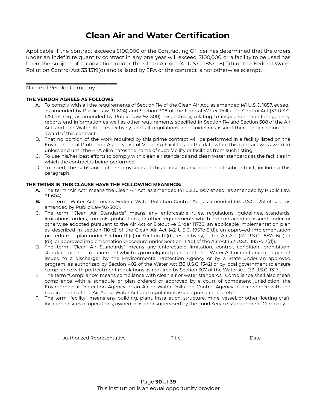# **Clean Air and Water Certification**

Applicable if the contract exceeds \$100,000 or the Contracting Officer has determined that the orders under an indefinite quantity contract in any one year will exceed \$100,000 or a facility to be used has been the subject of a conviction under the Clean Air Act (41 U.S.C. 1857c-8(c)(1) or the Federal Water Pollution Control Act 33 1319(d) and is listed by EPA or the contract is not otherwise exempt.

#### Name of Vendor Company

#### **THE VENDOR AGREES AS FOLLOWS**:

\_\_\_\_\_\_\_\_\_\_\_\_\_\_\_\_\_\_\_\_\_\_\_\_\_\_\_\_\_\_\_\_\_\_\_\_\_\_\_

- A. To comply with all the requirements of Section 114 of the Clean Air Act, as amended (41 U.S.C. 1857, et seq., as amended by Public Law 91-604) and Section 308 of the Federal Water Pollution Control Act (33 U.S.C. 1251, et seq., as amended by Public Law 92-500), respectively, relating to inspection, monitoring, entry, reports and information as well as other requirements specified in Section 114 and Section 308 of the Air Act and the Water Act, respectively, and all regulations and guidelines issued there under before the award of this contract.
- B. That no portion of the work required by this prime contract will be performed in a facility listed on the Environmental Protection Agency List of Violating Facilities on the date when this contract was awarded unless and until the EPA eliminates the name of such facility or facilities from such listing.
- C. To use his/her best efforts to comply with clean air standards and clean water standards at the facilities in which the contract is being performed.
- D. To insert the substance of the provisions of this clause in any nonexempt subcontract, including this paragraph.

#### **THE TERMS IN THIS CLAUSE HAVE THE FOLLOWING MEANINGS:**

- **A.** The term "Air Act" means the Clean Air Act, as amended (41 U.S.C. 1957 et seq., as amended by Public Law 91-604).
- **B.** The term "Water Act" means Federal Water Pollution Control Act, as amended (33 U.S.C. 1251 et seq., as amended by Public Law 92-500).
- C. The term "Clean Air Standards" means any enforceable rules, regulations, guidelines, standards, limitations, orders, controls, prohibitions, or other requirements which are contained in, issued under, or otherwise adopted pursuant to the Air Act or Executive Order 11738, an applicable implementation plan as described in section 110(d) of the Clean Air Act (42 U.S.C. 1957c-5(d)), an approved implementation procedure or plan under Section 111(c) or Section 111(d), respectively, of the Air Act (42 U.S.C. 1857c-6(c) or (d)), or approved implementation procedure under Section 112(d) of the Air Act (42 U.S.C. 1857c-7(d)).
- D. The term "Clean Air Standards" means any enforceable limitation, control, condition, prohibition, standard, or other requirement which is promulgated pursuant to the Water Act or contained in a permit issued to a discharger by the Environmental Protection Agency or by a State under an approved program, as authorized by Section 402 of the Water Act (33 U.S.C. 1342) or by local government to ensure compliance with pretreatment regulations as required by Section 307 of the Water Act (33 U.S.C. 1317).
- E. The term "Compliance" means compliance with clean air or water standards. Compliance shall also mean compliance with a schedule or plan ordered or approved by a court of competent jurisdiction, the Environmental Protection Agency or an Air or Water Pollution Control Agency in accordance with the requirements of the Air Act or Water Act and regulations issued pursuant thereto.
- F. The term "facility" means any building, plant, installation, structure, mine, vessel, or other floating craft, location or sites of operations, owned, leased or supervised by the Food Service Management Company.

Authorized Representative Title **The Contract Contract Contract Contract Contract Contract Contract Contract Contract Contract Contract Contract Contract Contract Contract Contract Contract Contract Contract Contract Contr** 

\_\_\_\_\_\_\_\_\_\_\_\_\_\_\_\_\_\_\_\_\_\_\_\_\_ \_\_\_\_\_\_\_\_\_\_\_\_\_\_\_\_\_\_\_\_\_\_\_\_\_\_ \_\_\_\_\_\_\_\_\_\_\_\_\_\_\_\_\_\_\_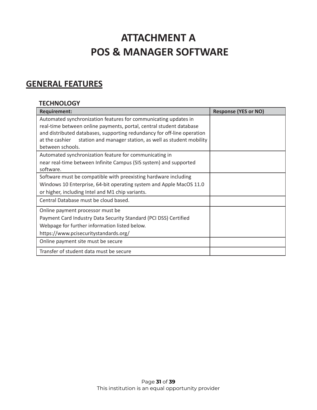# **ATTACHMENT A POS & MANAGER SOFTWARE**

# **GENERAL FEATURES**

#### **TECHNOLOGY**

| <b>Requirement:</b>                                                        | <b>Response (YES or NO)</b> |
|----------------------------------------------------------------------------|-----------------------------|
| Automated synchronization features for communicating updates in            |                             |
| real-time between online payments, portal, central student database        |                             |
| and distributed databases, supporting redundancy for off-line operation    |                             |
| station and manager station, as well as student mobility<br>at the cashier |                             |
| between schools.                                                           |                             |
| Automated synchronization feature for communicating in                     |                             |
| near real-time between Infinite Campus (SIS system) and supported          |                             |
| software.                                                                  |                             |
| Software must be compatible with preexisting hardware including            |                             |
| Windows 10 Enterprise, 64-bit operating system and Apple MacOS 11.0        |                             |
| or higher, including Intel and M1 chip variants.                           |                             |
| Central Database must be cloud based.                                      |                             |
| Online payment processor must be                                           |                             |
| Payment Card Industry Data Security Standard (PCI DSS) Certified           |                             |
| Webpage for further information listed below.                              |                             |
| https://www.pcisecuritystandards.org/                                      |                             |
| Online payment site must be secure                                         |                             |
| Transfer of student data must be secure                                    |                             |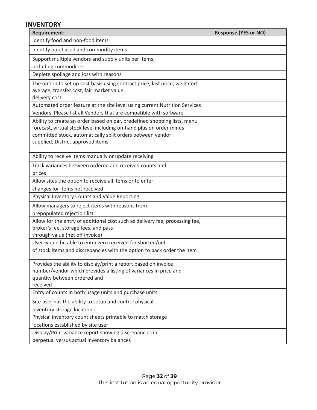#### **INVENTORY**

| <b>Requirement:</b>                                                                                                                                                                                                                                 | <b>Response (YES or NO)</b> |
|-----------------------------------------------------------------------------------------------------------------------------------------------------------------------------------------------------------------------------------------------------|-----------------------------|
| Identify food and non-food items                                                                                                                                                                                                                    |                             |
| Identify purchased and commodity items                                                                                                                                                                                                              |                             |
| Support multiple vendors and supply units per items,                                                                                                                                                                                                |                             |
| including commodities                                                                                                                                                                                                                               |                             |
| Deplete spoilage and loss with reasons                                                                                                                                                                                                              |                             |
| The option to set up cost basis using contract price, last price, weighted<br>average, transfer cost, fair market value,                                                                                                                            |                             |
| delivery cost                                                                                                                                                                                                                                       |                             |
| Automated order feature at the site level using current Nutrition Services                                                                                                                                                                          |                             |
| Vendors. Please list all Vendors that are compatible with software.                                                                                                                                                                                 |                             |
| Ability to create an order based on par, predefined shopping lists, menu<br>forecast, virtual stock level including on-hand plus on order minus<br>committed stock, automatically split orders between vendor<br>supplied, District approved items. |                             |
| Ability to receive items manually or update receiving                                                                                                                                                                                               |                             |
| Track variances between ordered and received counts and                                                                                                                                                                                             |                             |
| prices                                                                                                                                                                                                                                              |                             |
| Allow sites the option to receive all items or to enter                                                                                                                                                                                             |                             |
| changes for items not received<br>Physical Inventory Counts and Value Reporting                                                                                                                                                                     |                             |
| Allow managers to reject items with reasons from                                                                                                                                                                                                    |                             |
| prepopulated rejection list                                                                                                                                                                                                                         |                             |
| Allow for the entry of additional cost such as delivery fee, processing fee,<br>broker's fee, storage fees, and pass<br>through value (net off invoice)                                                                                             |                             |
| User would be able to enter zero received for shorted/out                                                                                                                                                                                           |                             |
| of stock items and discrepancies with the option to back order the item                                                                                                                                                                             |                             |
| Provides the ability to display/print a report based on invoice<br>number/vendor which provides a listing of variances in price and<br>quantity between ordered and<br>received                                                                     |                             |
| Entry of counts in both usage units and purchase units                                                                                                                                                                                              |                             |
| Site user has the ability to setup and control physical                                                                                                                                                                                             |                             |
| inventory storage locations                                                                                                                                                                                                                         |                             |
| Physical inventory count sheets printable to match storage                                                                                                                                                                                          |                             |
| locations established by site user                                                                                                                                                                                                                  |                             |
| Display/Print variance report showing discrepancies in                                                                                                                                                                                              |                             |
| perpetual versus actual inventory balances                                                                                                                                                                                                          |                             |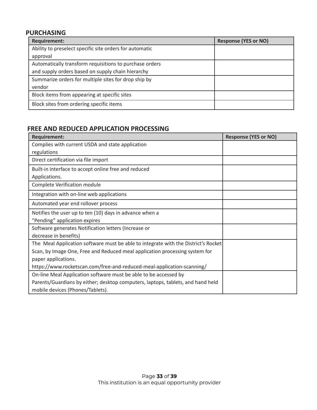### **PURCHASING**

| <b>Requirement:</b>                                     | <b>Response (YES or NO)</b> |
|---------------------------------------------------------|-----------------------------|
| Ability to preselect specific site orders for automatic |                             |
| approval                                                |                             |
| Automatically transform requisitions to purchase orders |                             |
| and supply orders based on supply chain hierarchy       |                             |
| Summarize orders for multiple sites for drop ship by    |                             |
| vendor                                                  |                             |
| Block items from appearing at specific sites            |                             |
| Block sites from ordering specific items                |                             |

### **FREE AND REDUCED APPLICATION PROCESSING**

| <b>Requirement:</b>                                                                | <b>Response (YES or NO)</b> |
|------------------------------------------------------------------------------------|-----------------------------|
| Complies with current USDA and state application                                   |                             |
| regulations                                                                        |                             |
| Direct certification via file import                                               |                             |
| Built-in interface to accept online free and reduced                               |                             |
| Applications.                                                                      |                             |
| Complete Verification module                                                       |                             |
| Integration with on-line web applications                                          |                             |
| Automated year end rollover process                                                |                             |
| Notifies the user up to ten (10) days in advance when a                            |                             |
| "Pending" application expires                                                      |                             |
| Software generates Notification letters (Increase or                               |                             |
| decrease in benefits)                                                              |                             |
| The Meal Application software must be able to integrate with the District's Rocket |                             |
| Scan, by Image One, Free and Reduced meal application processing system for        |                             |
| paper applications.                                                                |                             |
| https://www.rocketscan.com/free-and-reduced-meal-application-scanning/             |                             |
| On-line Meal Application software must be able to be accessed by                   |                             |
| Parents/Guardians by either; desktop computers, laptops, tablets, and hand held    |                             |
| mobile devices (Phones/Tablets).                                                   |                             |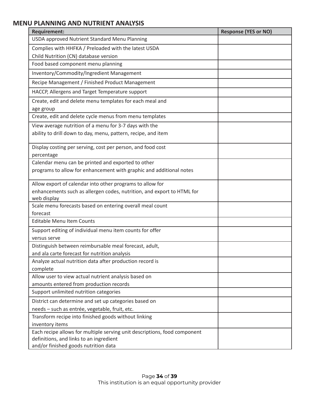## **MENU PLANNING AND NUTRIENT ANALYSIS**

| <b>Requirement:</b>                                                             | <b>Response (YES or NO)</b> |
|---------------------------------------------------------------------------------|-----------------------------|
| <b>USDA approved Nutrient Standard Menu Planning</b>                            |                             |
| Complies with HHFKA / Preloaded with the latest USDA                            |                             |
| Child Nutrition (CN) database version                                           |                             |
| Food based component menu planning                                              |                             |
| Inventory/Commodity/Ingredient Management                                       |                             |
| Recipe Management / Finished Product Management                                 |                             |
| HACCP, Allergens and Target Temperature support                                 |                             |
| Create, edit and delete menu templates for each meal and                        |                             |
| age group                                                                       |                             |
| Create, edit and delete cycle menus from menu templates                         |                             |
| View average nutrition of a menu for 3-7 days with the                          |                             |
| ability to drill down to day, menu, pattern, recipe, and item                   |                             |
| Display costing per serving, cost per person, and food cost                     |                             |
| percentage                                                                      |                             |
| Calendar menu can be printed and exported to other                              |                             |
| programs to allow for enhancement with graphic and additional notes             |                             |
| Allow export of calendar into other programs to allow for                       |                             |
| enhancements such as allergen codes, nutrition, and export to HTML for          |                             |
| web display                                                                     |                             |
| Scale menu forecasts based on entering overall meal count<br>forecast           |                             |
| <b>Editable Menu Item Counts</b>                                                |                             |
|                                                                                 |                             |
| Support editing of individual menu item counts for offer<br>versus serve        |                             |
| Distinguish between reimbursable meal forecast, adult,                          |                             |
| and ala carte forecast for nutrition analysis                                   |                             |
| Analyze actual nutrition data after production record is                        |                             |
| complete                                                                        |                             |
| Allow user to view actual nutrient analysis based on                            |                             |
| amounts entered from production records                                         |                             |
| Support unlimited nutrition categories                                          |                             |
| District can determine and set up categories based on                           |                             |
| needs - such as entrée, vegetable, fruit, etc.                                  |                             |
| Transform recipe into finished goods without linking                            |                             |
| inventory items                                                                 |                             |
| Each recipe allows for multiple serving unit descriptions, food component       |                             |
| definitions, and links to an ingredient<br>and/or finished goods nutrition data |                             |
|                                                                                 |                             |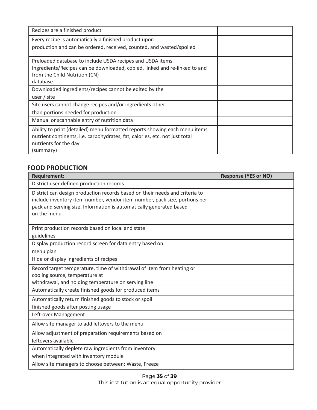| Recipes are a finished product                                                                              |  |
|-------------------------------------------------------------------------------------------------------------|--|
| Every recipe is automatically a finished product upon                                                       |  |
| production and can be ordered, received, counted, and wasted/spoiled                                        |  |
| Preloaded database to include USDA recipes and USDA items.                                                  |  |
| Ingredients/Recipes can be downloaded, copied, linked and re-linked to and<br>from the Child Nutrition (CN) |  |
| database                                                                                                    |  |
| Downloaded ingredients/recipes cannot be edited by the                                                      |  |
| user / site                                                                                                 |  |
| Site users cannot change recipes and/or ingredients other                                                   |  |
| than portions needed for production                                                                         |  |
| Manual or scannable entry of nutrition data                                                                 |  |
| Ability to print (detailed) menu formatted reports showing each menu items                                  |  |
| nutrient continents, i.e. carbohydrates, fat, calories, etc. not just total                                 |  |
| nutrients for the day                                                                                       |  |
| (summary)                                                                                                   |  |

#### **FOOD PRODUCTION**

| <b>Requirement:</b>                                                                                                                                                                                                                             | <b>Response (YES or NO)</b> |
|-------------------------------------------------------------------------------------------------------------------------------------------------------------------------------------------------------------------------------------------------|-----------------------------|
| District user defined production records                                                                                                                                                                                                        |                             |
| District can design production records based on their needs and criteria to<br>include inventory item number, vendor item number, pack size, portions per<br>pack and serving size. Information is automatically generated based<br>on the menu |                             |
| Print production records based on local and state                                                                                                                                                                                               |                             |
| guidelines                                                                                                                                                                                                                                      |                             |
| Display production record screen for data entry based on                                                                                                                                                                                        |                             |
| menu plan                                                                                                                                                                                                                                       |                             |
| Hide or display ingredients of recipes                                                                                                                                                                                                          |                             |
| Record target temperature, time of withdrawal of item from heating or<br>cooling source, temperature at<br>withdrawal, and holding temperature on serving line                                                                                  |                             |
| Automatically create finished goods for produced items                                                                                                                                                                                          |                             |
| Automatically return finished goods to stock or spoil<br>finished goods after posting usage<br>Left-over Management                                                                                                                             |                             |
| Allow site manager to add leftovers to the menu                                                                                                                                                                                                 |                             |
| Allow adjustment of preparation requirements based on<br>leftovers available                                                                                                                                                                    |                             |
| Automatically deplete raw ingredients from inventory<br>when integrated with inventory module                                                                                                                                                   |                             |
| Allow site managers to choose between: Waste, Freeze                                                                                                                                                                                            |                             |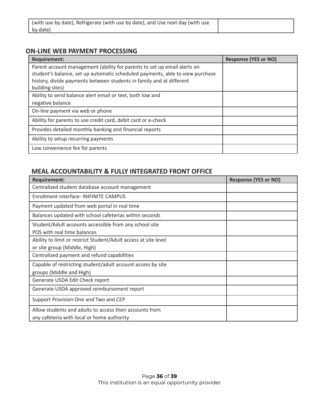| (with use by date), Refrigerate (with use by date), and Use next day (with use |  |
|--------------------------------------------------------------------------------|--|
| by date)                                                                       |  |

#### **ON-LINE WEB PAYMENT PROCESSING**

| <b>Requirement:</b>                                                           | <b>Response (YES or NO)</b> |
|-------------------------------------------------------------------------------|-----------------------------|
| Parent account management (ability for parents to set up email alerts on      |                             |
| student's balance, set up automatic scheduled payments, able to view purchase |                             |
| history, divide payments between students in family and at different          |                             |
| building sites)                                                               |                             |
| Ability to send balance alert email or text, both low and                     |                             |
| negative balance                                                              |                             |
| On-line payment via web or phone                                              |                             |
| Ability for parents to use credit card, debit card or e-check                 |                             |
| Provides detailed monthly banking and financial reports                       |                             |
| Ability to setup recurring payments                                           |                             |
| Low convenience fee for parents                                               |                             |

#### **MEAL ACCOUNTABILITY & FULLY INTEGRATED FRONT OFFICE**

| <b>Requirement:</b>                                             | <b>Response (YES or NO)</b> |
|-----------------------------------------------------------------|-----------------------------|
| Centralized student database account management                 |                             |
| Enrollment interface- INIFINITE CAMPUS                          |                             |
| Payment updated from web portal in real time                    |                             |
| Balances updated with school cafeterias within seconds          |                             |
| Student/Adult accounts accessible from any school site          |                             |
| POS with real time balances                                     |                             |
| Ability to limit or restrict Student/Adult access at site level |                             |
| or site group (Middle, High)                                    |                             |
| Centralized payment and refund capabilities                     |                             |
| Capable of restricting student/adult account access by site     |                             |
| groups (Middle and High)                                        |                             |
| Generate USDA Edit Check report                                 |                             |
| Generate USDA approved reimbursement report                     |                             |
| Support Provision One and Two and CEP                           |                             |
| Allow students and adults to access their accounts from         |                             |
| any cafeteria with local or home authority                      |                             |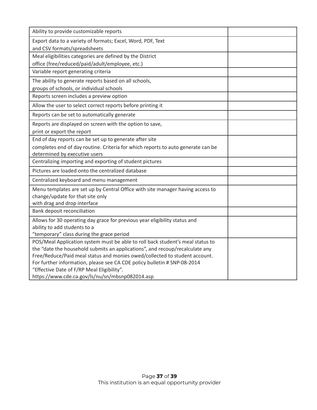| Ability to provide customizable reports                                                                                |  |
|------------------------------------------------------------------------------------------------------------------------|--|
| Export data to a variety of formats; Excel, Word, PDF, Text                                                            |  |
| and CSV formats/spreadsheets                                                                                           |  |
| Meal eligibilities categories are defined by the District                                                              |  |
| office (free/reduced/paid/adult/employee, etc.)                                                                        |  |
| Variable report generating criteria                                                                                    |  |
| The ability to generate reports based on all schools,                                                                  |  |
| groups of schools, or individual schools                                                                               |  |
| Reports screen includes a preview option                                                                               |  |
| Allow the user to select correct reports before printing it                                                            |  |
| Reports can be set to automatically generate                                                                           |  |
| Reports are displayed on screen with the option to save,                                                               |  |
| print or export the report                                                                                             |  |
| End of day reports can be set up to generate after site                                                                |  |
| completes end of day routine. Criteria for which reports to auto generate can be                                       |  |
| determined by executive users                                                                                          |  |
| Centralizing importing and exporting of student pictures                                                               |  |
| Pictures are loaded onto the centralized database                                                                      |  |
| Centralized keyboard and menu management                                                                               |  |
| Menu templates are set up by Central Office with site manager having access to                                         |  |
| change/update for that site only                                                                                       |  |
| with drag and drop interface                                                                                           |  |
| Bank deposit reconciliation                                                                                            |  |
| Allows for 30 operating day grace for previous year eligibility status and                                             |  |
| ability to add students to a                                                                                           |  |
| "temporary" class during the grace period                                                                              |  |
| POS/Meal Application system must be able to roll back student's meal status to                                         |  |
| the "date the household submits an applications", and recoup/recalculate any                                           |  |
| Free/Reduce/Paid meal status and monies owed/collected to student account.                                             |  |
| For further information, please see CA CDE policy bulletin # SNP-08-2014<br>"Effective Date of F/RP Meal Eligibility". |  |
| https://www.cde.ca.gov/ls/nu/sn/mbsnp082014.asp                                                                        |  |
|                                                                                                                        |  |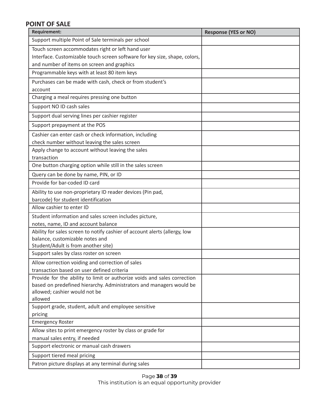## **POINT OF SALE**

| <b>Requirement:</b>                                                        | <b>Response (YES or NO)</b> |
|----------------------------------------------------------------------------|-----------------------------|
| Support multiple Point of Sale terminals per school                        |                             |
| Touch screen accommodates right or left hand user                          |                             |
| Interface. Customizable touch screen software for key size, shape, colors, |                             |
| and number of items on screen and graphics                                 |                             |
| Programmable keys with at least 80 item keys                               |                             |
| Purchases can be made with cash, check or from student's                   |                             |
| account                                                                    |                             |
| Charging a meal requires pressing one button                               |                             |
| Support NO ID cash sales                                                   |                             |
| Support dual serving lines per cashier register                            |                             |
| Support prepayment at the POS                                              |                             |
| Cashier can enter cash or check information, including                     |                             |
| check number without leaving the sales screen                              |                             |
| Apply change to account without leaving the sales                          |                             |
| transaction                                                                |                             |
| One button charging option while still in the sales screen                 |                             |
| Query can be done by name, PIN, or ID                                      |                             |
| Provide for bar-coded ID card                                              |                             |
| Ability to use non-proprietary ID reader devices (Pin pad,                 |                             |
| barcode) for student identification                                        |                             |
| Allow cashier to enter ID                                                  |                             |
| Student information and sales screen includes picture,                     |                             |
| notes, name, ID and account balance                                        |                             |
| Ability for sales screen to notify cashier of account alerts (allergy, low |                             |
| balance, customizable notes and<br>Student/Adult is from another site)     |                             |
| Support sales by class roster on screen                                    |                             |
| Allow correction voiding and correction of sales                           |                             |
| transaction based on user defined criteria                                 |                             |
| Provide for the ability to limit or authorize voids and sales correction   |                             |
| based on predefined hierarchy. Administrators and managers would be        |                             |
| allowed; cashier would not be                                              |                             |
| allowed                                                                    |                             |
| Support grade, student, adult and employee sensitive                       |                             |
| pricing<br><b>Emergency Roster</b>                                         |                             |
| Allow sites to print emergency roster by class or grade for                |                             |
| manual sales entry, if needed                                              |                             |
| Support electronic or manual cash drawers                                  |                             |
| Support tiered meal pricing                                                |                             |
| Patron picture displays at any terminal during sales                       |                             |